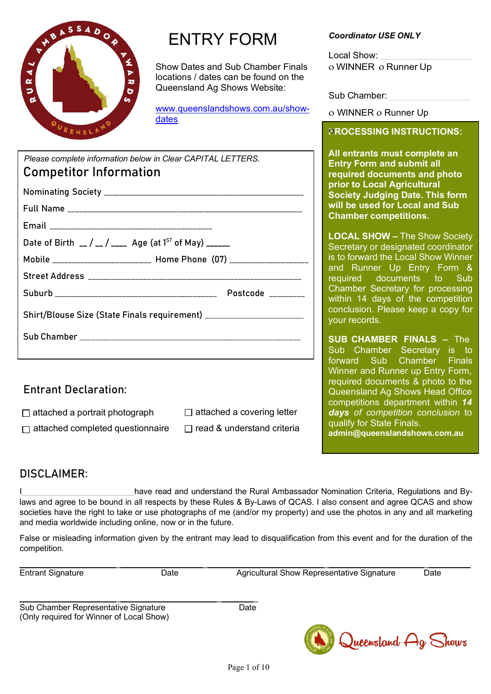

## ENTRY FORM

Show Dates and Sub Chamber Finals locations / dates can be found on the Queensland Ag Shows Website:

[www.queenslandshows.com.au/show](http://www.queenslandshows.com.au/show-dates)[dates](http://www.queenslandshows.com.au/show-dates) 

| Please complete information below in Clear CAPITAL LETTERS.                           | All entrants must complete an<br><b>Entry Form and submit all</b>                                                                                                       |                                                                       |
|---------------------------------------------------------------------------------------|-------------------------------------------------------------------------------------------------------------------------------------------------------------------------|-----------------------------------------------------------------------|
| <b>Competitor Information</b>                                                         | required documents and photo<br>prior to Local Agricultural<br><b>Society Judging Date. This form</b>                                                                   |                                                                       |
|                                                                                       |                                                                                                                                                                         |                                                                       |
|                                                                                       |                                                                                                                                                                         | will be used for Local and Sub                                        |
|                                                                                       |                                                                                                                                                                         | <b>Chamber competitions.</b>                                          |
| Date of Birth $\angle$ / $\angle$ / $\angle$ Age (at 1 <sup>ST</sup> of May) $\angle$ | <b>LOCAL SHOW - The Show Society</b><br>Secretary or designated coordinator                                                                                             |                                                                       |
| Mobile _________________________ Home Phone (07) ____________________                 | is to forward the Local Show Winner<br>and Runner Up Entry Form &<br>required documents to Sub<br>Chamber Secretary for processing<br>within 14 days of the competition |                                                                       |
|                                                                                       |                                                                                                                                                                         |                                                                       |
|                                                                                       |                                                                                                                                                                         |                                                                       |
| Shirt/Blouse Size (State Finals requirement) ________________________                 | conclusion. Please keep a copy for<br>your records.                                                                                                                     |                                                                       |
|                                                                                       | <b>SUB CHAMBER FINALS - The</b>                                                                                                                                         |                                                                       |
|                                                                                       | Sub Chamber Secretary is to                                                                                                                                             |                                                                       |
|                                                                                       |                                                                                                                                                                         | forward Sub Chamber Finals<br><b>Winner and Runner up Entry Form,</b> |
| <b>Entrant Declaration:</b>                                                           | required documents & photo to the                                                                                                                                       |                                                                       |
|                                                                                       |                                                                                                                                                                         | Queensland Ag Shows Head Office<br>competitions department within 14  |
| $\Box$ attached a portrait photograph $\Box$ attached a covering letter               |                                                                                                                                                                         | days of competition conclusion to                                     |
| attached completed questionnaire<br>П                                                 | qualify for State Finals.<br>admin@queenslandshows.com.au                                                                                                               |                                                                       |

## DISCLAIMER:

I **IMP is a straight and September 2016** have read and understand the Rural Ambassador Nomination Criteria, Regulations and Bylaws and agree to be bound in all respects by these Rules & By-Laws of QCAS. I also consent and agree QCAS and show societies have the right to take or use photographs of me (and/or my property) and use the photos in any and all marketing and media worldwide including online, now or in the future.

False or misleading information given by the entrant may lead to disqualification from this event and for the duration of the competition.

\_ \_ \_ \_ Entrant Signature Date Date Date Agricultural Show Representative Signature Date

\_ \_ \_ Sub Chamber Representative Signature **Date** Date (Only required for Winner of Local Show)



#### *Coordinator USE ONLY*

Local Show: ο WINNER ο Runner Up

Sub Chamber:

ο WINNER ο Runner Up

## **PROCESSING INSTRUCTIONS:** ο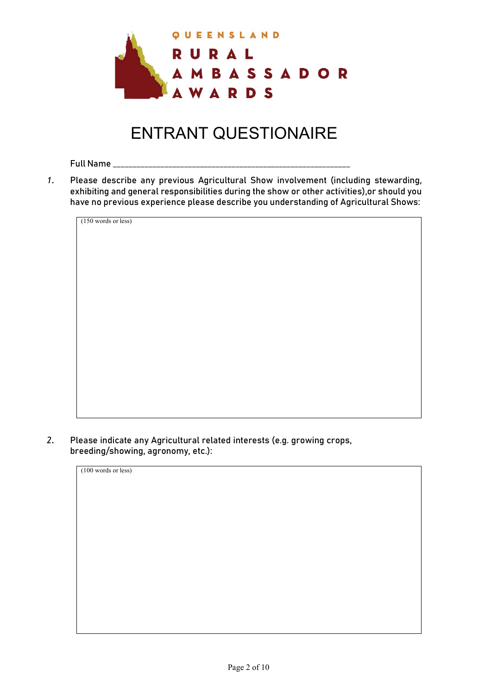

# ENTRANT QUESTIONAIRE

Full Name \_\_\_\_\_\_\_\_\_\_\_\_\_\_\_\_\_\_\_\_\_\_\_\_\_\_\_\_\_\_\_\_\_\_\_\_\_\_\_\_\_\_\_\_\_\_\_\_\_\_\_\_\_\_\_\_\_\_\_\_

*1.* Please describe any previous Agricultural Show involvement (including stewarding, exhibiting and general responsibilities during the show or other activities),or should you have no previous experience please describe you understanding of Agricultural Shows:

(150 words or less)

*2.* Please indicate any Agricultural related interests (e.g. growing crops, breeding/showing, agronomy, etc.):

| (100 words or less) |
|---------------------|
|                     |
|                     |
|                     |
|                     |
|                     |
|                     |
|                     |
|                     |
|                     |
|                     |
|                     |
|                     |
|                     |
|                     |
|                     |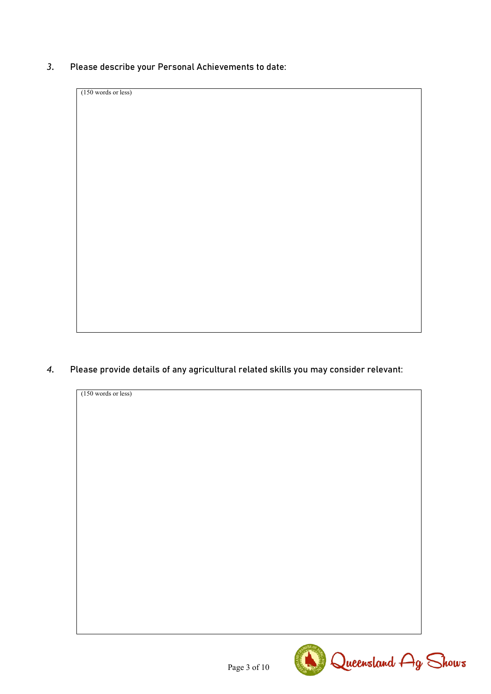*3.* Please describe your Personal Achievements to date:

(150 words or less)

*4.* Please provide details of any agricultural related skills you may consider relevant:



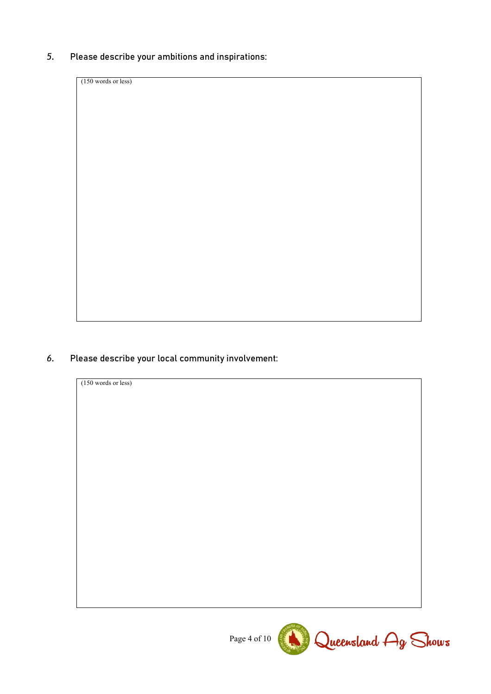*5.* Please describe your ambitions and inspirations:

(150 words or less)

## *6.* Please describe your local community involvement:



Page 4 of 10 Queensland Ag Shows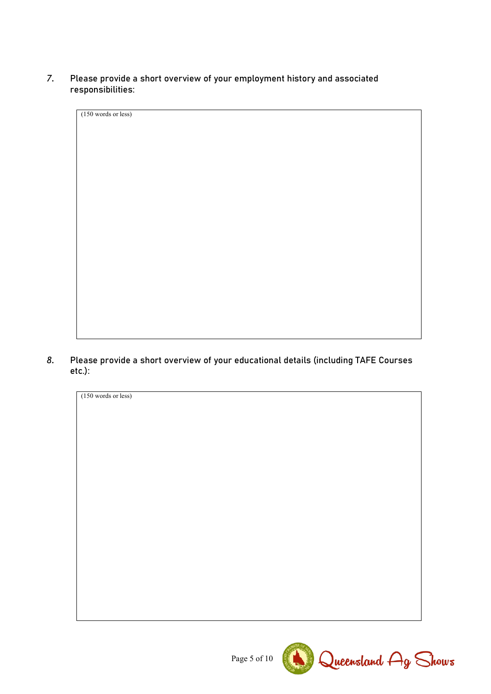#### *7.* Please provide a short overview of your employment history and associated responsibilities:

| $(150 \text{ words or less})$ |  |  |  |  |  |
|-------------------------------|--|--|--|--|--|
|                               |  |  |  |  |  |
|                               |  |  |  |  |  |
|                               |  |  |  |  |  |
|                               |  |  |  |  |  |
|                               |  |  |  |  |  |
|                               |  |  |  |  |  |
|                               |  |  |  |  |  |
|                               |  |  |  |  |  |
|                               |  |  |  |  |  |
|                               |  |  |  |  |  |
|                               |  |  |  |  |  |
|                               |  |  |  |  |  |
|                               |  |  |  |  |  |
|                               |  |  |  |  |  |
|                               |  |  |  |  |  |
|                               |  |  |  |  |  |
|                               |  |  |  |  |  |
|                               |  |  |  |  |  |
|                               |  |  |  |  |  |
|                               |  |  |  |  |  |

*8.* Please provide a short overview of your educational details (including TAFE Courses etc.):



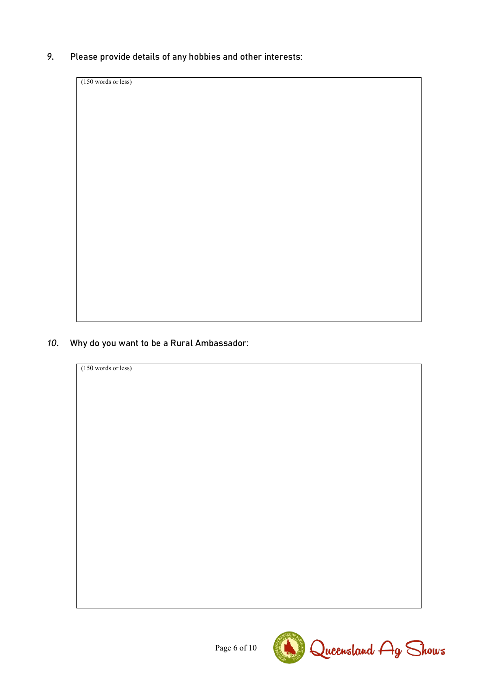*9.* Please provide details of any hobbies and other interests:

(150 words or less)

### *10.* Why do you want to be a Rural Ambassador:



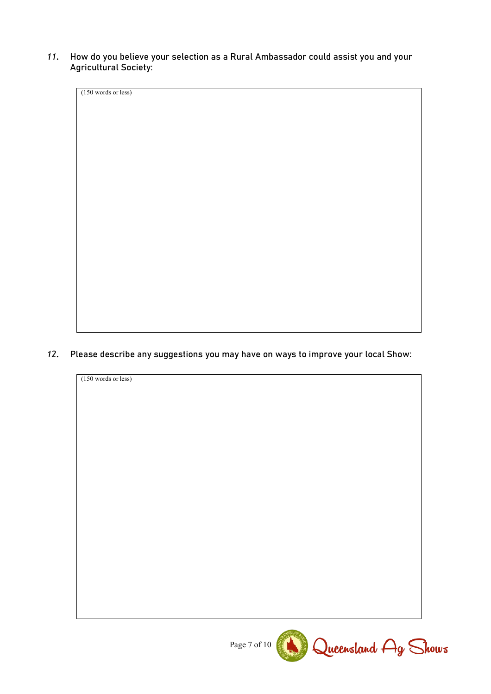*11.* How do you believe your selection as a Rural Ambassador could assist you and your Agricultural Society:

(150 words or less)

*12.* Please describe any suggestions you may have on ways to improve your local Show:



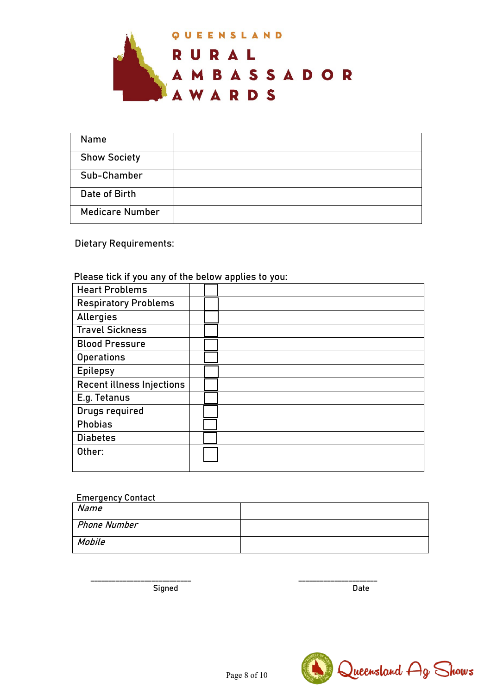

| Name                   |  |
|------------------------|--|
| <b>Show Society</b>    |  |
| Sub-Chamber            |  |
| Date of Birth          |  |
| <b>Medicare Number</b> |  |

Dietary Requirements:

## Please tick if you any of the below applies to you:

| <b>Heart Problems</b>            |  |
|----------------------------------|--|
| <b>Respiratory Problems</b>      |  |
| Allergies                        |  |
| <b>Travel Sickness</b>           |  |
|                                  |  |
| <b>Blood Pressure</b>            |  |
| <b>Operations</b>                |  |
| <b>Epilepsy</b>                  |  |
| <b>Recent illness Injections</b> |  |
| E.g. Tetanus                     |  |
| Drugs required                   |  |
| <b>Phobias</b>                   |  |
| <b>Diabetes</b>                  |  |
| Other:                           |  |
|                                  |  |

#### Emergency Contact

| Name         |  |
|--------------|--|
| Phone Number |  |
| Mobile       |  |

Signed Date Date Date

\_\_\_\_\_\_\_\_\_\_\_\_\_\_\_\_\_\_\_\_\_\_\_\_\_\_\_\_ \_\_\_\_\_\_\_\_\_\_\_\_\_\_\_\_\_\_\_\_\_\_

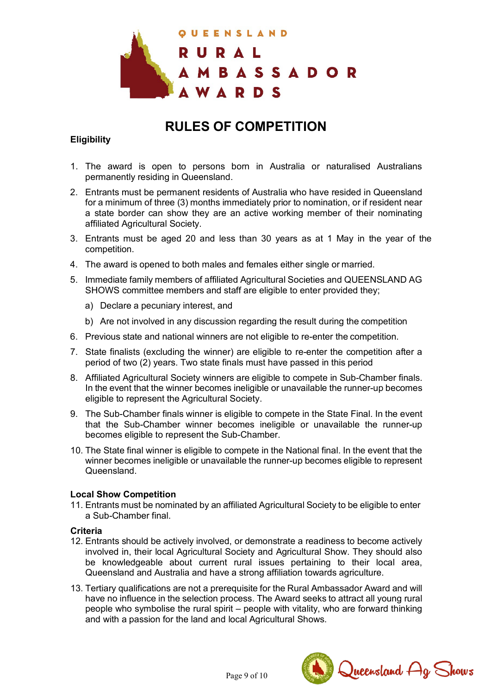

## **RULES OF COMPETITION**

#### **Eligibility**

- 1. The award is open to persons born in Australia or naturalised Australians permanently residing in Queensland.
- 2. Entrants must be permanent residents of Australia who have resided in Queensland for a minimum of three (3) months immediately prior to nomination, or if resident near a state border can show they are an active working member of their nominating affiliated Agricultural Society.
- 3. Entrants must be aged 20 and less than 30 years as at 1 May in the year of the competition.
- 4. The award is opened to both males and females either single or married.
- 5. Immediate family members of affiliated Agricultural Societies and QUEENSLAND AG SHOWS committee members and staff are eligible to enter provided they;
	- a) Declare a pecuniary interest, and
	- b) Are not involved in any discussion regarding the result during the competition
- 6. Previous state and national winners are not eligible to re-enter the competition.
- 7. State finalists (excluding the winner) are eligible to re-enter the competition after a period of two (2) years. Two state finals must have passed in this period
- 8. Affiliated Agricultural Society winners are eligible to compete in Sub-Chamber finals. In the event that the winner becomes ineligible or unavailable the runner-up becomes eligible to represent the Agricultural Society.
- 9. The Sub-Chamber finals winner is eligible to compete in the State Final. In the event that the Sub-Chamber winner becomes ineligible or unavailable the runner-up becomes eligible to represent the Sub-Chamber.
- 10. The State final winner is eligible to compete in the National final. In the event that the winner becomes ineligible or unavailable the runner-up becomes eligible to represent Queensland.

#### **Local Show Competition**

11. Entrants must be nominated by an affiliated Agricultural Society to be eligible to enter a Sub-Chamber final.

#### **Criteria**

- 12. Entrants should be actively involved, or demonstrate a readiness to become actively involved in, their local Agricultural Society and Agricultural Show. They should also be knowledgeable about current rural issues pertaining to their local area, Queensland and Australia and have a strong affiliation towards agriculture.
- 13. Tertiary qualifications are not a prerequisite for the Rural Ambassador Award and will have no influence in the selection process. The Award seeks to attract all young rural people who symbolise the rural spirit – people with vitality, who are forward thinking and with a passion for the land and local Agricultural Shows.